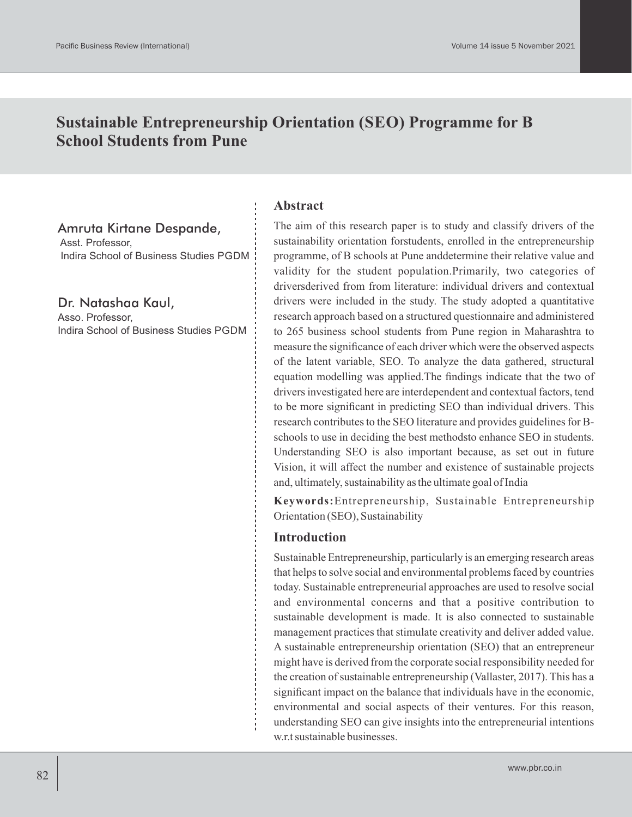# **Sustainable Entrepreneurship Orientation (SEO) Programme for B School Students from Pune**

### Amruta Kirtane Despande,

Asst. Professor, Indira School of Business Studies PGDM

Dr. Natashaa Kaul, Asso. Professor, Indira School of Business Studies PGDM

#### **Abstract**

The aim of this research paper is to study and classify drivers of the sustainability orientation forstudents, enrolled in the entrepreneurship programme, of B schools at Pune anddetermine their relative value and validity for the student population.Primarily, two categories of driversderived from from literature: individual drivers and contextual drivers were included in the study. The study adopted a quantitative research approach based on a structured questionnaire and administered to 265 business school students from Pune region in Maharashtra to measure the significance of each driver which were the observed aspects of the latent variable, SEO. To analyze the data gathered, structural equation modelling was applied.The findings indicate that the two of drivers investigated here are interdependent and contextual factors, tend to be more significant in predicting SEO than individual drivers. This research contributes to the SEO literature and provides guidelines for Bschools to use in deciding the best methodsto enhance SEO in students. Understanding SEO is also important because, as set out in future Vision, it will affect the number and existence of sustainable projects and, ultimately, sustainability as the ultimate goal of India

**Keywords:**Entrepreneurship, Sustainable Entrepreneurship Orientation (SEO), Sustainability

#### **Introduction**

Sustainable Entrepreneurship, particularly is an emerging research areas that helps to solve social and environmental problems faced by countries today. Sustainable entrepreneurial approaches are used to resolve social and environmental concerns and that a positive contribution to sustainable development is made. It is also connected to sustainable management practices that stimulate creativity and deliver added value. A sustainable entrepreneurship orientation (SEO) that an entrepreneur might have is derived from the corporate social responsibility needed for the creation of sustainable entrepreneurship (Vallaster, 2017). This has a significant impact on the balance that individuals have in the economic, environmental and social aspects of their ventures. For this reason, understanding SEO can give insights into the entrepreneurial intentions w.r.t sustainable businesses.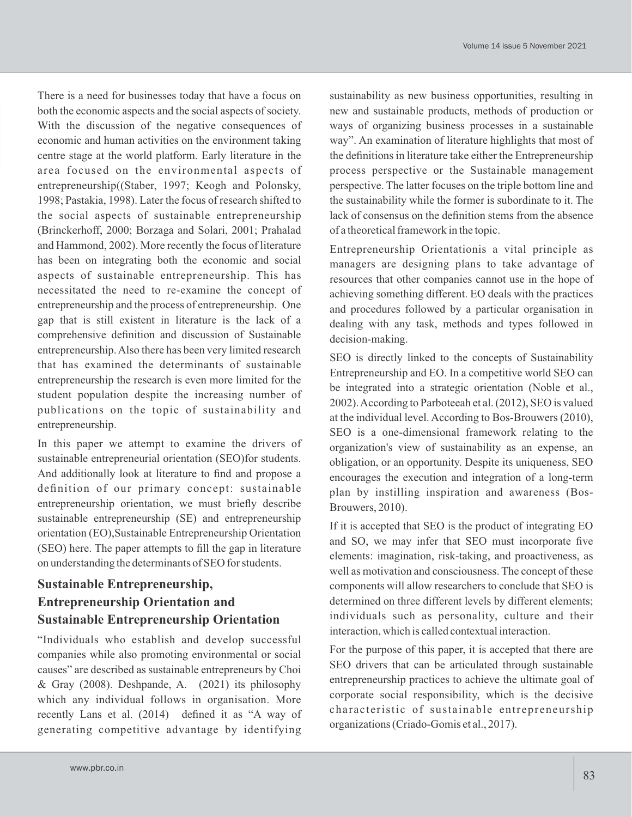There is a need for businesses today that have a focus on both the economic aspects and the social aspects of society. With the discussion of the negative consequences of economic and human activities on the environment taking centre stage at the world platform. Early literature in the area focused on the environmental aspects of entrepreneurship((Staber, 1997; Keogh and Polonsky, 1998; Pastakia, 1998). Later the focus of research shifted to the social aspects of sustainable entrepreneurship (Brinckerhoff, 2000; Borzaga and Solari, 2001; Prahalad and Hammond, 2002). More recently the focus of literature has been on integrating both the economic and social aspects of sustainable entrepreneurship. This has necessitated the need to re-examine the concept of entrepreneurship and the process of entrepreneurship. One gap that is still existent in literature is the lack of a comprehensive definition and discussion of Sustainable entrepreneurship. Also there has been very limited research that has examined the determinants of sustainable entrepreneurship the research is even more limited for the student population despite the increasing number of publications on the topic of sustainability and entrepreneurship.

In this paper we attempt to examine the drivers of sustainable entrepreneurial orientation (SEO)for students. And additionally look at literature to find and propose a definition of our primary concept: sustainable entrepreneurship orientation, we must briefly describe sustainable entrepreneurship (SE) and entrepreneurship orientation (EO),Sustainable Entrepreneurship Orientation (SEO) here. The paper attempts to fill the gap in literature on understanding the determinants of SEO for students.

## **Sustainable Entrepreneurship, Entrepreneurship Orientation and Sustainable Entrepreneurship Orientation**

"Individuals who establish and develop successful companies while also promoting environmental or social causes" are described as sustainable entrepreneurs by Choi & Gray (2008). Deshpande, A. (2021) its philosophy which any individual follows in organisation. More recently Lans et al. (2014) defined it as "A way of generating competitive advantage by identifying

sustainability as new business opportunities, resulting in new and sustainable products, methods of production or ways of organizing business processes in a sustainable way". An examination of literature highlights that most of the definitions in literature take either the Entrepreneurship process perspective or the Sustainable management perspective. The latter focuses on the triple bottom line and the sustainability while the former is subordinate to it. The lack of consensus on the definition stems from the absence of a theoretical framework in the topic.

Entrepreneurship Orientationis a vital principle as managers are designing plans to take advantage of resources that other companies cannot use in the hope of achieving something different. EO deals with the practices and procedures followed by a particular organisation in dealing with any task, methods and types followed in decision-making.

SEO is directly linked to the concepts of Sustainability Entrepreneurship and EO. In a competitive world SEO can be integrated into a strategic orientation (Noble et al., 2002). According to Parboteeah et al. (2012), SEO is valued at the individual level. According to Bos-Brouwers (2010), SEO is a one-dimensional framework relating to the organization's view of sustainability as an expense, an obligation, or an opportunity. Despite its uniqueness, SEO encourages the execution and integration of a long-term plan by instilling inspiration and awareness (Bos-Brouwers, 2010).

If it is accepted that SEO is the product of integrating EO and SO, we may infer that SEO must incorporate five elements: imagination, risk-taking, and proactiveness, as well as motivation and consciousness. The concept of these components will allow researchers to conclude that SEO is determined on three different levels by different elements; individuals such as personality, culture and their interaction, which is called contextual interaction.

For the purpose of this paper, it is accepted that there are SEO drivers that can be articulated through sustainable entrepreneurship practices to achieve the ultimate goal of corporate social responsibility, which is the decisive characteristic of sustainable entrepreneurship organizations (Criado-Gomis et al., 2017).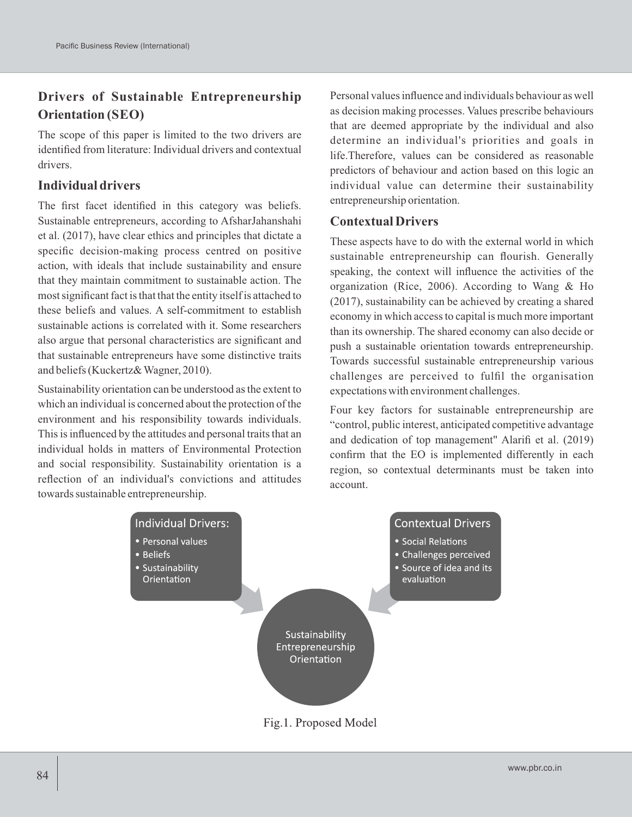## **Drivers of Sustainable Entrepreneurship Orientation (SEO)**

The scope of this paper is limited to the two drivers are identified from literature: Individual drivers and contextual drivers.

## **Individual drivers**

The first facet identified in this category was beliefs. Sustainable entrepreneurs, according to AfsharJahanshahi et al. (2017), have clear ethics and principles that dictate a specific decision-making process centred on positive action, with ideals that include sustainability and ensure that they maintain commitment to sustainable action. The most significant fact is that that the entity itself is attached to these beliefs and values. A self-commitment to establish sustainable actions is correlated with it. Some researchers also argue that personal characteristics are significant and that sustainable entrepreneurs have some distinctive traits and beliefs (Kuckertz& Wagner, 2010).

Sustainability orientation can be understood as the extent to which an individual is concerned about the protection of the environment and his responsibility towards individuals. This is influenced by the attitudes and personal traits that an individual holds in matters of Environmental Protection and social responsibility. Sustainability orientation is a reflection of an individual's convictions and attitudes towards sustainable entrepreneurship.

Personal values influence and individuals behaviour as well as decision making processes. Values prescribe behaviours that are deemed appropriate by the individual and also determine an individual's priorities and goals in life.Therefore, values can be considered as reasonable predictors of behaviour and action based on this logic an individual value can determine their sustainability entrepreneurship orientation.

### **Contextual Drivers**

These aspects have to do with the external world in which sustainable entrepreneurship can flourish. Generally speaking, the context will influence the activities of the organization (Rice, 2006). According to Wang & Ho (2017), sustainability can be achieved by creating a shared economy in which access to capital is much more important than its ownership. The shared economy can also decide or push a sustainable orientation towards entrepreneurship. Towards successful sustainable entrepreneurship various challenges are perceived to fulfil the organisation expectations with environment challenges.

Four key factors for sustainable entrepreneurship are "control, public interest, anticipated competitive advantage and dedication of top management" Alarifi et al. (2019) confirm that the EO is implemented differently in each region, so contextual determinants must be taken into account.



Fig.1. Proposed Model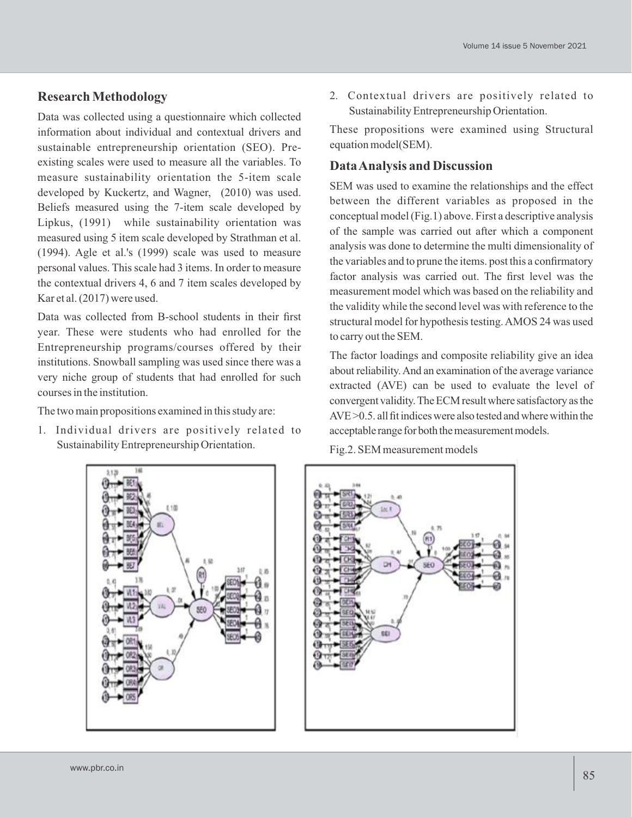## **Research Methodology**

Data was collected using a questionnaire which collected information about individual and contextual drivers and sustainable entrepreneurship orientation (SEO). Preexisting scales were used to measure all the variables. To measure sustainability orientation the 5-item scale developed by Kuckertz, and Wagner, (2010) was used. Beliefs measured using the 7-item scale developed by Lipkus, (1991) while sustainability orientation was measured using 5 item scale developed by Strathman et al. (1994). Agle et al.'s (1999) scale was used to measure personal values. This scale had 3 items. In order to measure the contextual drivers 4, 6 and 7 item scales developed by Kar et al. (2017) were used.

Data was collected from B-school students in their first year. These were students who had enrolled for the Entrepreneurship programs/courses offered by their institutions. Snowball sampling was used since there was a very niche group of students that had enrolled for such courses in the institution.

The two main propositions examined in this study are:

1. Individual drivers are positively related to Sustainability Entrepreneurship Orientation.

2. Contextual drivers are positively related to Sustainability Entrepreneurship Orientation.

These propositions were examined using Structural equation model(SEM).

## **Data Analysis and Discussion**

SEM was used to examine the relationships and the effect between the different variables as proposed in the conceptual model (Fig.1) above. First a descriptive analysis of the sample was carried out after which a component analysis was done to determine the multi dimensionality of the variables and to prune the items. post this a confirmatory factor analysis was carried out. The first level was the measurement model which was based on the reliability and the validity while the second level was with reference to the structural model for hypothesis testing. AMOS 24 was used to carry out the SEM.

The factor loadings and composite reliability give an idea about reliability.And an examination of the average variance extracted (AVE) can be used to evaluate the level of convergent validity. The ECM result where satisfactory as the  $AVE > 0.5$ . all fit indices were also tested and where within the acceptable range for both the measurement models.

Fig.2. SEM measurement models



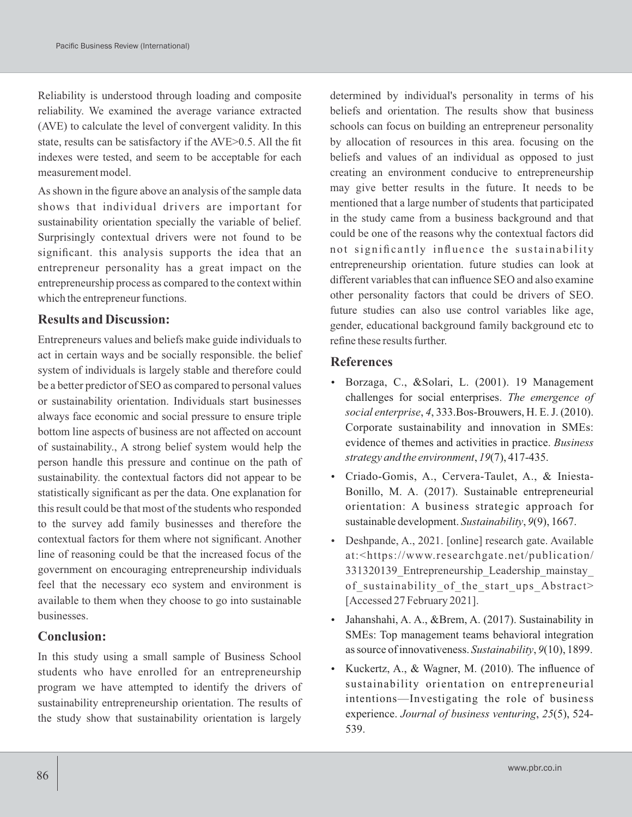Reliability is understood through loading and composite reliability. We examined the average variance extracted (AVE) to calculate the level of convergent validity. In this state, results can be satisfactory if the AVE>0.5. All the fit indexes were tested, and seem to be acceptable for each measurement model.

As shown in the figure above an analysis of the sample data shows that individual drivers are important for sustainability orientation specially the variable of belief. Surprisingly contextual drivers were not found to be significant. this analysis supports the idea that an entrepreneur personality has a great impact on the entrepreneurship process as compared to the context within which the entrepreneur functions.

#### **Results and Discussion:**

Entrepreneurs values and beliefs make guide individuals to act in certain ways and be socially responsible. the belief system of individuals is largely stable and therefore could be a better predictor of SEO as compared to personal values or sustainability orientation. Individuals start businesses always face economic and social pressure to ensure triple bottom line aspects of business are not affected on account of sustainability., A strong belief system would help the person handle this pressure and continue on the path of sustainability. the contextual factors did not appear to be statistically significant as per the data. One explanation for this result could be that most of the students who responded to the survey add family businesses and therefore the contextual factors for them where not significant. Another line of reasoning could be that the increased focus of the government on encouraging entrepreneurship individuals feel that the necessary eco system and environment is available to them when they choose to go into sustainable businesses.

#### **Conclusion:**

In this study using a small sample of Business School students who have enrolled for an entrepreneurship program we have attempted to identify the drivers of sustainability entrepreneurship orientation. The results of the study show that sustainability orientation is largely

determined by individual's personality in terms of his beliefs and orientation. The results show that business schools can focus on building an entrepreneur personality by allocation of resources in this area. focusing on the beliefs and values of an individual as opposed to just creating an environment conducive to entrepreneurship may give better results in the future. It needs to be mentioned that a large number of students that participated in the study came from a business background and that could be one of the reasons why the contextual factors did not significantly influence the sustainability entrepreneurship orientation. future studies can look at different variables that can influence SEO and also examine other personality factors that could be drivers of SEO. future studies can also use control variables like age, gender, educational background family background etc to refine these results further.

#### **References**

- Borzaga, C., &Solari, L. (2001). 19 Management challenges for social enterprises. *The emergence of social enterprise*, *4*, 333.Bos-Brouwers, H. E. J. (2010). Corporate sustainability and innovation in SMEs: evidence of themes and activities in practice. *Business strategy and the environment*, *19*(7), 417-435.
- Criado-Gomis, A., Cervera-Taulet, A., & Iniesta-Bonillo, M. A. (2017). Sustainable entrepreneurial orientation: A business strategic approach for sustainable development. *Sustainability*, *9*(9), 1667.
- Deshpande, A., 2021. [online] research gate. Available at:<https://www.researchgate.net/publication/ 331320139\_Entrepreneurship\_Leadership\_mainstay\_ of sustainability of the start ups Abstract> [Accessed 27 February 2021].
- Jahanshahi, A. A., &Brem, A. (2017). Sustainability in SMEs: Top management teams behavioral integration as source of innovativeness. *Sustainability*, *9*(10), 1899.
- Kuckertz, A., & Wagner, M. (2010). The influence of sustainability orientation on entrepreneurial intentions—Investigating the role of business experience. *Journal of business venturing*, *25*(5), 524- 539.